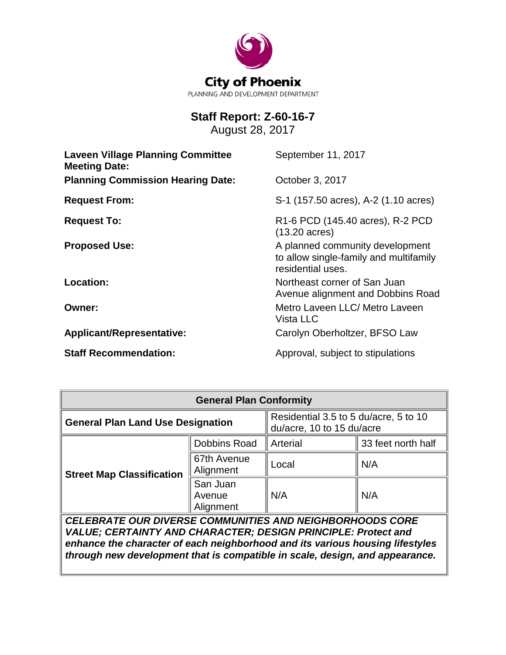

# **Staff Report: Z-60-16-7**

August 28, 2017

| <b>Laveen Village Planning Committee</b><br><b>Meeting Date:</b> | September 11, 2017                                                                             |
|------------------------------------------------------------------|------------------------------------------------------------------------------------------------|
| <b>Planning Commission Hearing Date:</b>                         | October 3, 2017                                                                                |
| <b>Request From:</b>                                             | S-1 (157.50 acres), A-2 (1.10 acres)                                                           |
| <b>Request To:</b>                                               | R <sub>1</sub> -6 PCD (145.40 acres), R-2 PCD<br>$(13.20 \text{ acres})$                       |
| <b>Proposed Use:</b>                                             | A planned community development<br>to allow single-family and multifamily<br>residential uses. |
| Location:                                                        | Northeast corner of San Juan<br>Avenue alignment and Dobbins Road                              |
| Owner:                                                           | Metro Laveen LLC/ Metro Laveen<br>Vista LLC                                                    |
| Applicant/Representative:                                        | Carolyn Oberholtzer, BFSO Law                                                                  |
| <b>Staff Recommendation:</b>                                     | Approval, subject to stipulations                                                              |

| <b>General Plan Conformity</b>                                                                                                                                                                                                                                                                    |                                 |                                                                    |                    |  |
|---------------------------------------------------------------------------------------------------------------------------------------------------------------------------------------------------------------------------------------------------------------------------------------------------|---------------------------------|--------------------------------------------------------------------|--------------------|--|
| <b>General Plan Land Use Designation</b>                                                                                                                                                                                                                                                          |                                 | Residential 3.5 to 5 du/acre, 5 to 10<br>du/acre, 10 to 15 du/acre |                    |  |
| <b>Street Map Classification</b>                                                                                                                                                                                                                                                                  | Dobbins Road                    | Arterial                                                           | 33 feet north half |  |
|                                                                                                                                                                                                                                                                                                   | 67th Avenue<br>Alignment        | Local                                                              | N/A                |  |
|                                                                                                                                                                                                                                                                                                   | San Juan<br>Avenue<br>Alignment | N/A                                                                | N/A                |  |
| <b>CELEBRATE OUR DIVERSE COMMUNITIES AND NEIGHBORHOODS CORE</b><br>VALUE; CERTAINTY AND CHARACTER; DESIGN PRINCIPLE: Protect and<br>enhance the character of each neighborhood and its various housing lifestyles<br>through new development that is compatible in scale, design, and appearance. |                                 |                                                                    |                    |  |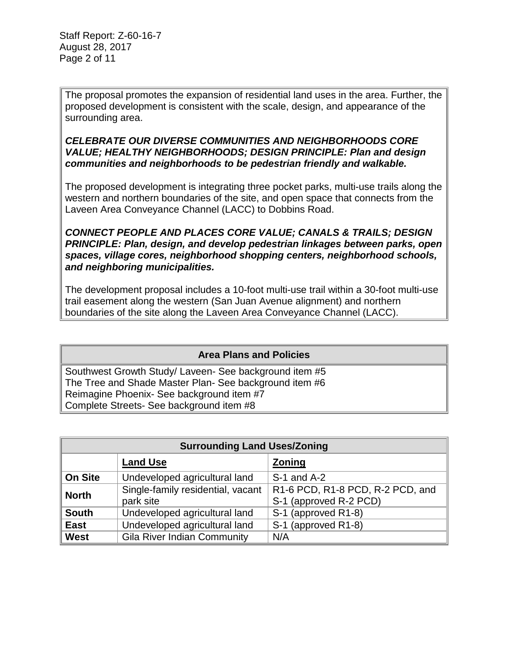Staff Report: Z-60-16-7 August 28, 2017 Page 2 of 11

The proposal promotes the expansion of residential land uses in the area. Further, the proposed development is consistent with the scale, design, and appearance of the surrounding area.

### *CELEBRATE OUR DIVERSE COMMUNITIES AND NEIGHBORHOODS CORE VALUE; HEALTHY NEIGHBORHOODS; DESIGN PRINCIPLE: Plan and design communities and neighborhoods to be pedestrian friendly and walkable.*

The proposed development is integrating three pocket parks, multi-use trails along the western and northern boundaries of the site, and open space that connects from the Laveen Area Conveyance Channel (LACC) to Dobbins Road.

*CONNECT PEOPLE AND PLACES CORE VALUE; CANALS & TRAILS; DESIGN PRINCIPLE: Plan, design, and develop pedestrian linkages between parks, open spaces, village cores, neighborhood shopping centers, neighborhood schools, and neighboring municipalities.*

The development proposal includes a 10-foot multi-use trail within a 30-foot multi-use trail easement along the western (San Juan Avenue alignment) and northern boundaries of the site along the Laveen Area Conveyance Channel (LACC).

# **Area Plans and Policies**

Southwest Growth Study/ Laveen- See background item #5 The Tree and Shade Master Plan- See background item #6 Reimagine Phoenix- See background item #7 Complete Streets- See background item #8

| <b>Surrounding Land Uses/Zoning</b> |                                                |                                                            |  |
|-------------------------------------|------------------------------------------------|------------------------------------------------------------|--|
|                                     | <b>Land Use</b>                                | <b>Zoning</b>                                              |  |
| <b>On Site</b>                      | Undeveloped agricultural land                  | $S-1$ and $A-2$                                            |  |
| <b>North</b>                        | Single-family residential, vacant<br>park site | R1-6 PCD, R1-8 PCD, R-2 PCD, and<br>S-1 (approved R-2 PCD) |  |
| <b>South</b>                        | Undeveloped agricultural land                  | S-1 (approved R1-8)                                        |  |
| <b>East</b>                         | Undeveloped agricultural land                  | S-1 (approved R1-8)                                        |  |
| <b>West</b>                         | <b>Gila River Indian Community</b>             | N/A                                                        |  |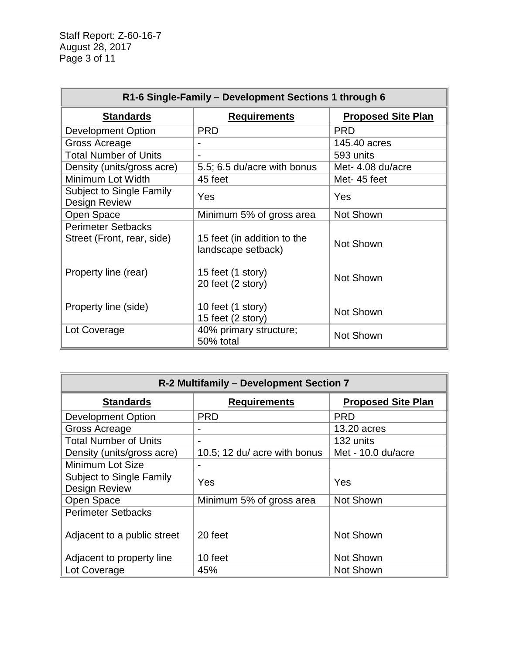| R1-6 Single-Family - Development Sections 1 through 6   |                                                   |                           |  |
|---------------------------------------------------------|---------------------------------------------------|---------------------------|--|
| <b>Standards</b>                                        | <b>Requirements</b>                               | <b>Proposed Site Plan</b> |  |
| <b>Development Option</b>                               | <b>PRD</b>                                        | <b>PRD</b>                |  |
| Gross Acreage                                           |                                                   | 145.40 acres              |  |
| <b>Total Number of Units</b>                            |                                                   | 593 units                 |  |
| Density (units/gross acre)                              | 5.5; 6.5 du/acre with bonus                       | Met- 4.08 du/acre         |  |
| Minimum Lot Width                                       | 45 feet                                           | Met-45 feet               |  |
| <b>Subject to Single Family</b><br><b>Design Review</b> | Yes                                               | Yes                       |  |
| Open Space                                              | Minimum 5% of gross area                          | Not Shown                 |  |
| <b>Perimeter Setbacks</b><br>Street (Front, rear, side) | 15 feet (in addition to the<br>landscape setback) | Not Shown                 |  |
| Property line (rear)                                    | 15 feet (1 story)<br>20 feet (2 story)            | Not Shown                 |  |
| Property line (side)                                    | 10 feet (1 story)<br>15 feet (2 story)            | Not Shown                 |  |
| Lot Coverage                                            | 40% primary structure;<br>50% total               | Not Shown                 |  |

| R-2 Multifamily - Development Section 7                 |                              |                           |  |
|---------------------------------------------------------|------------------------------|---------------------------|--|
| <b>Standards</b><br><b>Requirements</b>                 |                              | <b>Proposed Site Plan</b> |  |
| <b>Development Option</b>                               | <b>PRD</b>                   | <b>PRD</b>                |  |
| Gross Acreage                                           |                              | 13.20 acres               |  |
| <b>Total Number of Units</b>                            |                              | 132 units                 |  |
| Density (units/gross acre)                              | 10.5; 12 du/ acre with bonus | Met - 10.0 du/acre        |  |
| Minimum Lot Size                                        |                              |                           |  |
| <b>Subject to Single Family</b><br><b>Design Review</b> | Yes                          | Yes                       |  |
| Open Space                                              | Minimum 5% of gross area     | Not Shown                 |  |
| <b>Perimeter Setbacks</b>                               |                              |                           |  |
| Adjacent to a public street                             | 20 feet                      | Not Shown                 |  |
| Adjacent to property line                               | 10 feet                      | Not Shown                 |  |
| Lot Coverage                                            | 45%                          | Not Shown                 |  |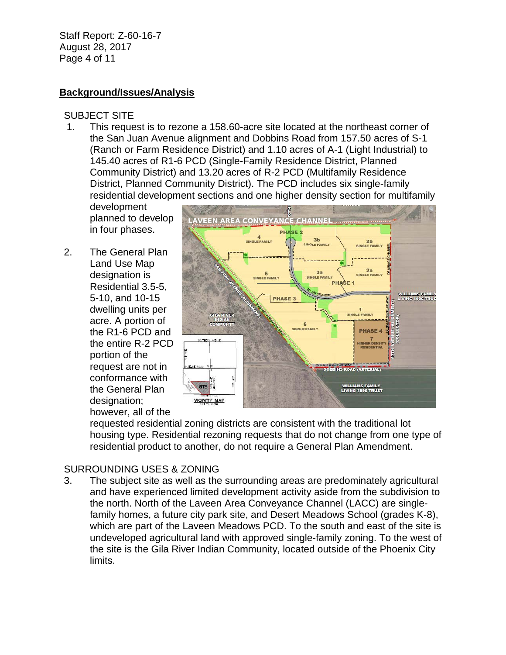Staff Report: Z-60-16-7 August 28, 2017 Page 4 of 11

### **Background/Issues/Analysis**

### SUBJECT SITE

1. This request is to rezone a 158.60-acre site located at the northeast corner of the San Juan Avenue alignment and Dobbins Road from 157.50 acres of S-1 (Ranch or Farm Residence District) and 1.10 acres of A-1 (Light Industrial) to 145.40 acres of R1-6 PCD (Single-Family Residence District, Planned Community District) and 13.20 acres of R-2 PCD (Multifamily Residence District, Planned Community District). The PCD includes six single-family residential development sections and one higher density section for multifamily

development planned to develop in four phases.

The General Plan Land Use Map designation is Residential 3.5-5, 5-10, and 10-15 dwelling units per acre. A portion of the R1-6 PCD and the entire R-2 PCD portion of the request are not in conformance with the General Plan designation; however, all of the 2.



requested residential zoning districts are consistent with the traditional lot housing type. Residential rezoning requests that do not change from one type of residential product to another, do not require a General Plan Amendment.

# SURROUNDING USES & ZONING

3. The subject site as well as the surrounding areas are predominately agricultural and have experienced limited development activity aside from the subdivision to the north. North of the Laveen Area Conveyance Channel (LACC) are singlefamily homes, a future city park site, and Desert Meadows School (grades K-8), which are part of the Laveen Meadows PCD. To the south and east of the site is undeveloped agricultural land with approved single-family zoning. To the west of the site is the Gila River Indian Community, located outside of the Phoenix City limits.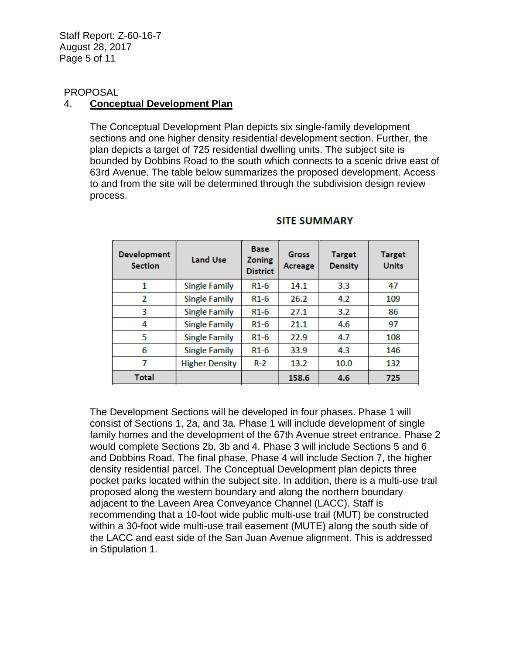Staff Report: Z-60-16-7 August 28, 2017 Page 5 of 11

#### PROPOSAL

### 4. **Conceptual Development Plan**

The Conceptual Development Plan depicts six single-family development sections and one higher density residential development section. Further, the plan depicts a target of 725 residential dwelling units. The subject site is bounded by Dobbins Road to the south which connects to a scenic drive east of 63rd Avenue. The table below summarizes the proposed development. Access to and from the site will be determined through the subdivision design review process.

| <b>Development</b><br><b>Section</b> | <b>Land Use</b>       | <b>Base</b><br><b>Zoning</b><br><b>District</b> | <b>Gross</b><br>Acreage | <b>Target</b><br><b>Density</b> | <b>Target</b><br><b>Units</b> |
|--------------------------------------|-----------------------|-------------------------------------------------|-------------------------|---------------------------------|-------------------------------|
| 1                                    | <b>Single Family</b>  | $R1-6$                                          | 14.1                    | 3.3                             | 47                            |
| 2                                    | <b>Single Family</b>  | $R1-6$                                          | 26.2                    | 4.2                             | 109                           |
| 3                                    | <b>Single Family</b>  | $R1-6$                                          | 27.1                    | 3.2                             | 86                            |
| 4                                    | <b>Single Family</b>  | $R1-6$                                          | 21.1                    | 4.6                             | 97                            |
| 5                                    | <b>Single Family</b>  | $R1-6$                                          | 22.9                    | 4.7                             | 108                           |
| 6                                    | <b>Single Family</b>  | $R1-6$                                          | 33.9                    | 4.3                             | 146                           |
| 7                                    | <b>Higher Density</b> | $R-2$                                           | 13.2                    | 10.0                            | 132                           |
| Total                                |                       |                                                 | 158.6                   | 4.6                             | 725                           |

#### **SITE SUMMARY**

The Development Sections will be developed in four phases. Phase 1 will consist of Sections 1, 2a, and 3a. Phase 1 will include development of single family homes and the development of the 67th Avenue street entrance. Phase 2 would complete Sections 2b, 3b and 4. Phase 3 will include Sections 5 and 6 and Dobbins Road. The final phase, Phase 4 will include Section 7, the higher density residential parcel. The Conceptual Development plan depicts three pocket parks located within the subject site. In addition, there is a multi-use trail proposed along the western boundary and along the northern boundary adjacent to the Laveen Area Conveyance Channel (LACC). Staff is recommending that a 10-foot wide public multi-use trail (MUT) be constructed within a 30-foot wide multi-use trail easement (MUTE) along the south side of the LACC and east side of the San Juan Avenue alignment. This is addressed in Stipulation 1.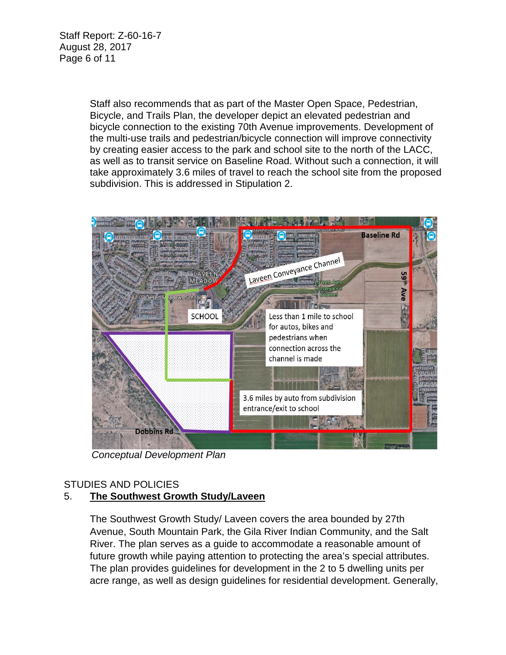Staff Report: Z-60-16-7 August 28, 2017 Page 6 of 11

> Staff also recommends that as part of the Master Open Space, Pedestrian, Bicycle, and Trails Plan, the developer depict an elevated pedestrian and bicycle connection to the existing 70th Avenue improvements. Development of the multi-use trails and pedestrian/bicycle connection will improve connectivity by creating easier access to the park and school site to the north of the LACC, as well as to transit service on Baseline Road. Without such a connection, it will take approximately 3.6 miles of travel to reach the school site from the proposed subdivision. This is addressed in Stipulation 2.



*Conceptual Development Plan*

# STUDIES AND POLICIES

# 5. **The Southwest Growth Study/Laveen**

The Southwest Growth Study/ Laveen covers the area bounded by 27th Avenue, South Mountain Park, the Gila River Indian Community, and the Salt River. The plan serves as a guide to accommodate a reasonable amount of future growth while paying attention to protecting the area's special attributes. The plan provides guidelines for development in the 2 to 5 dwelling units per acre range, as well as design guidelines for residential development. Generally,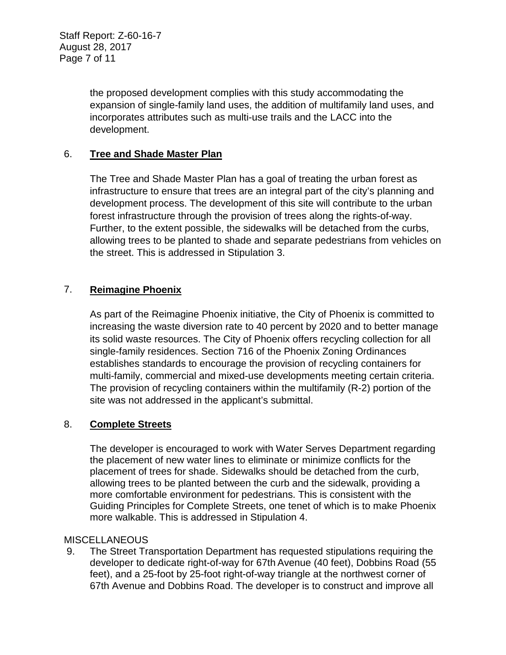the proposed development complies with this study accommodating the expansion of single-family land uses, the addition of multifamily land uses, and incorporates attributes such as multi-use trails and the LACC into the development.

# 6. **Tree and Shade Master Plan**

The Tree and Shade Master Plan has a goal of treating the urban forest as infrastructure to ensure that trees are an integral part of the city's planning and development process. The development of this site will contribute to the urban forest infrastructure through the provision of trees along the rights-of-way. Further, to the extent possible, the sidewalks will be detached from the curbs, allowing trees to be planted to shade and separate pedestrians from vehicles on the street. This is addressed in Stipulation 3.

# 7. **Reimagine Phoenix**

As part of the Reimagine Phoenix initiative, the City of Phoenix is committed to increasing the waste diversion rate to 40 percent by 2020 and to better manage its solid waste resources. The City of Phoenix offers recycling collection for all single-family residences. Section 716 of the Phoenix Zoning Ordinances establishes standards to encourage the provision of recycling containers for multi-family, commercial and mixed-use developments meeting certain criteria. The provision of recycling containers within the multifamily (R-2) portion of the site was not addressed in the applicant's submittal.

### 8. **Complete Streets**

The developer is encouraged to work with Water Serves Department regarding the placement of new water lines to eliminate or minimize conflicts for the placement of trees for shade. Sidewalks should be detached from the curb, allowing trees to be planted between the curb and the sidewalk, providing a more comfortable environment for pedestrians. This is consistent with the Guiding Principles for Complete Streets, one tenet of which is to make Phoenix more walkable. This is addressed in Stipulation 4.

### MISCELLANEOUS

9. The Street Transportation Department has requested stipulations requiring the developer to dedicate right-of-way for 67th Avenue (40 feet), Dobbins Road (55 feet), and a 25-foot by 25-foot right-of-way triangle at the northwest corner of 67th Avenue and Dobbins Road. The developer is to construct and improve all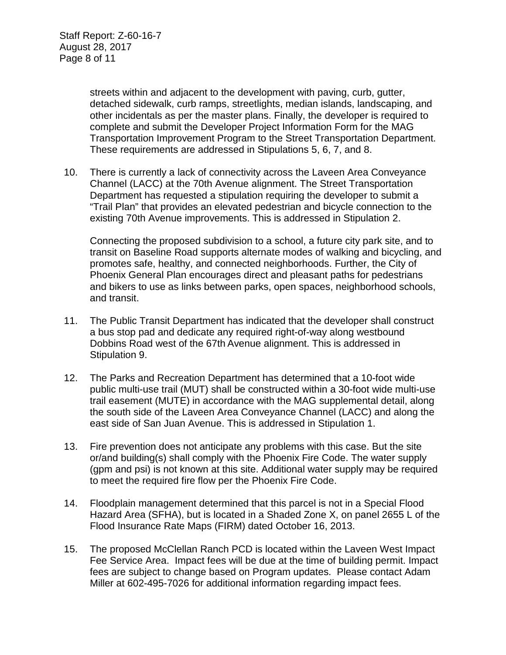streets within and adjacent to the development with paving, curb, gutter, detached sidewalk, curb ramps, streetlights, median islands, landscaping, and other incidentals as per the master plans. Finally, the developer is required to complete and submit the Developer Project Information Form for the MAG Transportation Improvement Program to the Street Transportation Department. These requirements are addressed in Stipulations 5, 6, 7, and 8.

10. There is currently a lack of connectivity across the Laveen Area Conveyance Channel (LACC) at the 70th Avenue alignment. The Street Transportation Department has requested a stipulation requiring the developer to submit a "Trail Plan" that provides an elevated pedestrian and bicycle connection to the existing 70th Avenue improvements. This is addressed in Stipulation 2.

Connecting the proposed subdivision to a school, a future city park site, and to transit on Baseline Road supports alternate modes of walking and bicycling, and promotes safe, healthy, and connected neighborhoods. Further, the City of Phoenix General Plan encourages direct and pleasant paths for pedestrians and bikers to use as links between parks, open spaces, neighborhood schools, and transit.

- 11. The Public Transit Department has indicated that the developer shall construct a bus stop pad and dedicate any required right-of-way along westbound Dobbins Road west of the 67th Avenue alignment. This is addressed in Stipulation 9.
- 12. The Parks and Recreation Department has determined that a 10-foot wide public multi-use trail (MUT) shall be constructed within a 30-foot wide multi-use trail easement (MUTE) in accordance with the MAG supplemental detail, along the south side of the Laveen Area Conveyance Channel (LACC) and along the east side of San Juan Avenue. This is addressed in Stipulation 1.
- 13. Fire prevention does not anticipate any problems with this case. But the site or/and building(s) shall comply with the Phoenix Fire Code. The water supply (gpm and psi) is not known at this site. Additional water supply may be required to meet the required fire flow per the Phoenix Fire Code.
- 14. Floodplain management determined that this parcel is not in a Special Flood Hazard Area (SFHA), but is located in a Shaded Zone X, on panel 2655 L of the Flood Insurance Rate Maps (FIRM) dated October 16, 2013.
- 15. The proposed McClellan Ranch PCD is located within the Laveen West Impact Fee Service Area. Impact fees will be due at the time of building permit. Impact fees are subject to change based on Program updates. Please contact Adam Miller at 602-495-7026 for additional information regarding impact fees.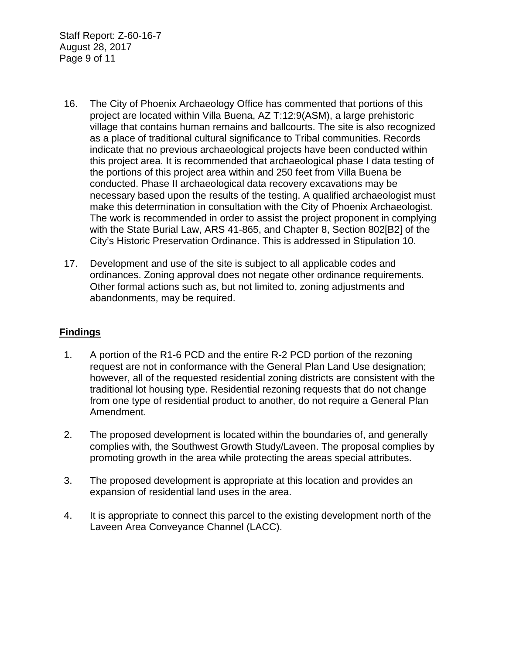Staff Report: Z-60-16-7 August 28, 2017 Page 9 of 11

- 16. The City of Phoenix Archaeology Office has commented that portions of this project are located within Villa Buena, AZ T:12:9(ASM), a large prehistoric village that contains human remains and ballcourts. The site is also recognized as a place of traditional cultural significance to Tribal communities. Records indicate that no previous archaeological projects have been conducted within this project area. It is recommended that archaeological phase I data testing of the portions of this project area within and 250 feet from Villa Buena be conducted. Phase II archaeological data recovery excavations may be necessary based upon the results of the testing. A qualified archaeologist must make this determination in consultation with the City of Phoenix Archaeologist. The work is recommended in order to assist the project proponent in complying with the State Burial Law, ARS 41-865, and Chapter 8, Section 802[B2] of the City's Historic Preservation Ordinance. This is addressed in Stipulation 10.
- 17. Development and use of the site is subject to all applicable codes and ordinances. Zoning approval does not negate other ordinance requirements. Other formal actions such as, but not limited to, zoning adjustments and abandonments, may be required.

### **Findings**

- 1. A portion of the R1-6 PCD and the entire R-2 PCD portion of the rezoning request are not in conformance with the General Plan Land Use designation; however, all of the requested residential zoning districts are consistent with the traditional lot housing type. Residential rezoning requests that do not change from one type of residential product to another, do not require a General Plan Amendment.
- 2. The proposed development is located within the boundaries of, and generally complies with, the Southwest Growth Study/Laveen. The proposal complies by promoting growth in the area while protecting the areas special attributes.
- 3. The proposed development is appropriate at this location and provides an expansion of residential land uses in the area.
- 4. It is appropriate to connect this parcel to the existing development north of the Laveen Area Conveyance Channel (LACC).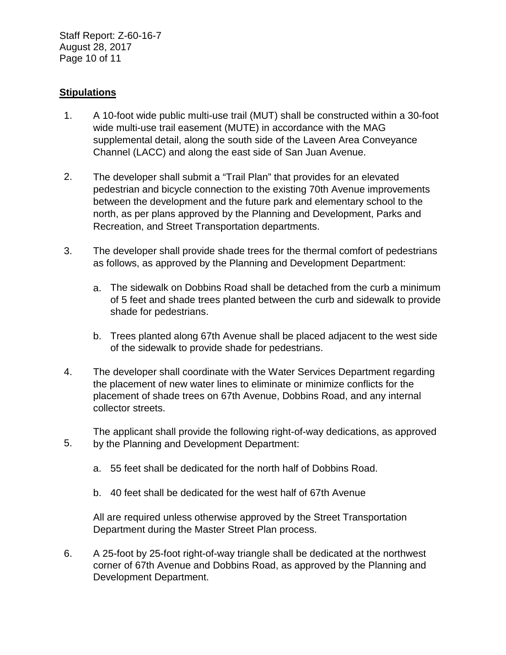Staff Report: Z-60-16-7 August 28, 2017 Page 10 of 11

### **Stipulations**

- 1. A 10-foot wide public multi-use trail (MUT) shall be constructed within a 30-foot wide multi-use trail easement (MUTE) in accordance with the MAG supplemental detail, along the south side of the Laveen Area Conveyance Channel (LACC) and along the east side of San Juan Avenue.
- 2. The developer shall submit a "Trail Plan" that provides for an elevated pedestrian and bicycle connection to the existing 70th Avenue improvements between the development and the future park and elementary school to the north, as per plans approved by the Planning and Development, Parks and Recreation, and Street Transportation departments.
- 3. The developer shall provide shade trees for the thermal comfort of pedestrians as follows, as approved by the Planning and Development Department:
	- a. The sidewalk on Dobbins Road shall be detached from the curb a minimum of 5 feet and shade trees planted between the curb and sidewalk to provide shade for pedestrians.
	- b. Trees planted along 67th Avenue shall be placed adjacent to the west side of the sidewalk to provide shade for pedestrians.
- 4. The developer shall coordinate with the Water Services Department regarding the placement of new water lines to eliminate or minimize conflicts for the placement of shade trees on 67th Avenue, Dobbins Road, and any internal collector streets.

5. The applicant shall provide the following right-of-way dedications, as approved by the Planning and Development Department:

- a. 55 feet shall be dedicated for the north half of Dobbins Road.
- b. 40 feet shall be dedicated for the west half of 67th Avenue

All are required unless otherwise approved by the Street Transportation Department during the Master Street Plan process.

6. A 25-foot by 25-foot right-of-way triangle shall be dedicated at the northwest corner of 67th Avenue and Dobbins Road, as approved by the Planning and Development Department.